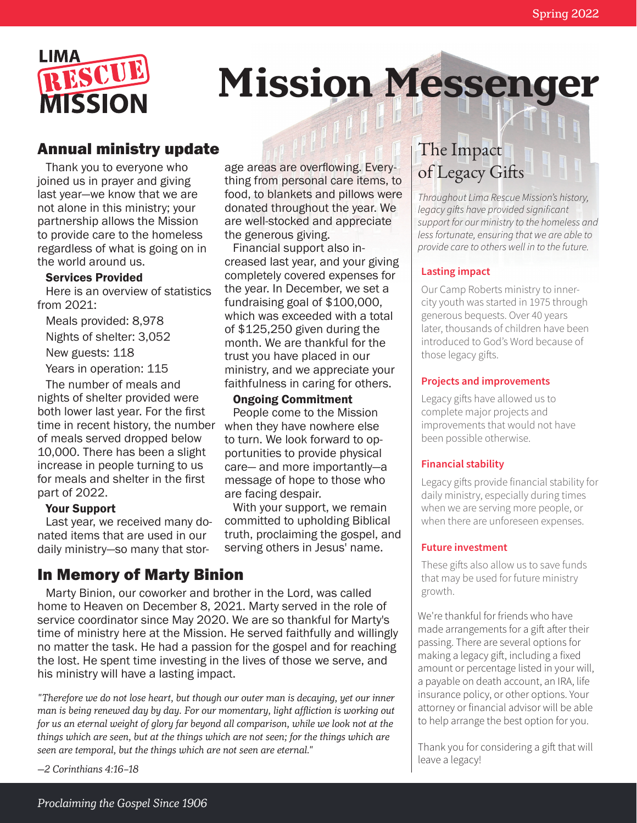

# **Mission Messenger**

## Annual ministry update

Thank you to everyone who joined us in prayer and giving last year—we know that we are not alone in this ministry; your partnership allows the Mission to provide care to the homeless regardless of what is going on in the world around us.

#### Services Provided

Here is an overview of statistics from 2021:

Meals provided: 8,978

Nights of shelter: 3,052

New guests: 118

Years in operation: 115

The number of meals and nights of shelter provided were both lower last year. For the first time in recent history, the number of meals served dropped below 10,000. There has been a slight increase in people turning to us for meals and shelter in the first part of 2022.

#### Your Support

Last year, we received many donated items that are used in our daily ministry—so many that stor-

### In Memory of Marty Binion

Marty Binion, our coworker and brother in the Lord, was called home to Heaven on December 8, 2021. Marty served in the role of service coordinator since May 2020. We are so thankful for Marty's time of ministry here at the Mission. He served faithfully and willingly no matter the task. He had a passion for the gospel and for reaching the lost. He spent time investing in the lives of those we serve, and his ministry will have a lasting impact.

*"Therefore we do not lose heart, but though our outer man is decaying, yet our inner man is being renewed day by day. For our momentary, light affliction is working out for us an eternal weight of glory far beyond all comparison, while we look not at the things which are seen, but at the things which are not seen; for the things which are seen are temporal, but the things which are not seen are eternal."*

*—2 Corinthians 4:16–18*

age areas are overflowing. Everything from personal care items, to food, to blankets and pillows were donated throughout the year. We are well-stocked and appreciate the generous giving.

Financial support also increased last year, and your giving completely covered expenses for the year. In December, we set a fundraising goal of \$100,000, which was exceeded with a total of \$125,250 given during the month. We are thankful for the trust you have placed in our ministry, and we appreciate your faithfulness in caring for others.

#### Ongoing Commitment

People come to the Mission when they have nowhere else to turn. We look forward to opportunities to provide physical care— and more importantly—a message of hope to those who are facing despair.

With your support, we remain committed to upholding Biblical truth, proclaiming the gospel, and serving others in Jesus' name.

## The Impact of Legacy Gifts

*Throughout Lima Rescue Mission's history, legacy gifts have provided significant support for our ministry to the homeless and less fortunate, ensuring that we are able to provide care to others well in to the future.*

#### **Lasting impact**

Our Camp Roberts ministry to innercity youth was started in 1975 through generous bequests. Over 40 years later, thousands of children have been introduced to God's Word because of those legacy gifts.

#### **Projects and improvements**

Legacy gifts have allowed us to complete major projects and improvements that would not have been possible otherwise.

#### **Financial stability**

Legacy gifts provide financial stability for daily ministry, especially during times when we are serving more people, or when there are unforeseen expenses.

#### **Future investment**

These gifts also allow us to save funds that may be used for future ministry growth.

We're thankful for friends who have made arrangements for a gift after their passing. There are several options for making a legacy gift, including a fixed amount or percentage listed in your will, a payable on death account, an IRA, life insurance policy, or other options. Your attorney or financial advisor will be able to help arrange the best option for you.

Thank you for considering a gift that will leave a legacy!